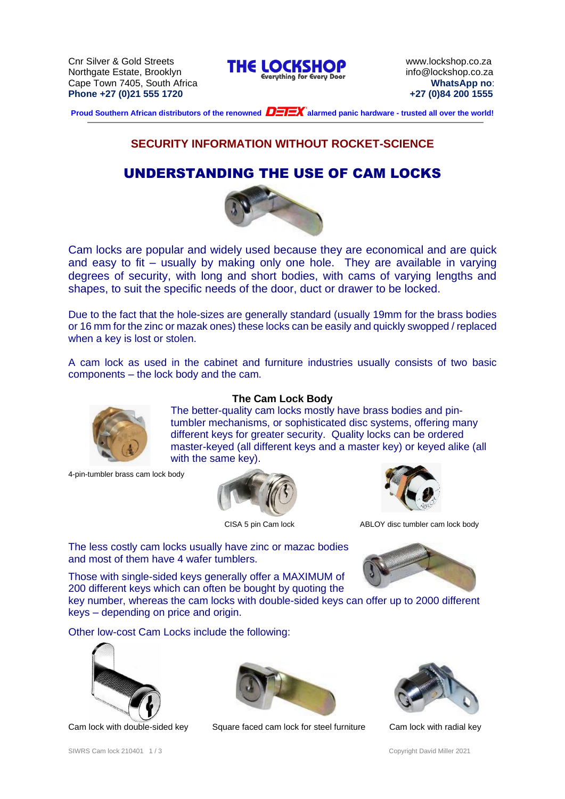Cnr Silver & Gold Streets<br> **THE LOCKSHOP** www.lockshop.co.za<br> **Northacts Estate Brooklyn** Cape Town 7405, South Africa **WhatsApp no**: **Phone +27 (0)21 555 1720 +27 (0)84 200 1555**



**Proud Southern African distributors of the renowned**  $\bf{D=TEX}^*$  **alarmed panic hardware - trusted all over the world!** 

# **SECURITY INFORMATION WITHOUT ROCKET-SCIENCE**

# UNDERSTANDING THE USE OF CAM LOCKS



Cam locks are popular and widely used because they are economical and are quick and easy to fit – usually by making only one hole. They are available in varying degrees of security, with long and short bodies, with cams of varying lengths and shapes, to suit the specific needs of the door, duct or drawer to be locked.

Due to the fact that the hole-sizes are generally standard (usually 19mm for the brass bodies or 16 mm for the zinc or mazak ones) these locks can be easily and quickly swopped / replaced when a key is lost or stolen.

A cam lock as used in the cabinet and furniture industries usually consists of two basic components – the lock body and the cam.



4-pin-tumbler brass cam lock body

#### **The Cam Lock Body**

The better-quality cam locks mostly have brass bodies and pintumbler mechanisms, or sophisticated disc systems, offering many different keys for greater security. Quality locks can be ordered master-keyed (all different keys and a master key) or keyed alike (all with the same key).





CISA 5 pin Cam lock ABLOY disc tumbler cam lock body

The less costly cam locks usually have zinc or mazac bodies and most of them have 4 wafer tumblers.

Those with single-sided keys generally offer a MAXIMUM of 200 different keys which can often be bought by quoting the

key number, whereas the cam locks with double-sided keys can offer up to 2000 different keys – depending on price and origin.

Other low-cost Cam Locks include the following:







Cam lock with double-sided key Square faced cam lock for steel furniture Cam lock with radial key



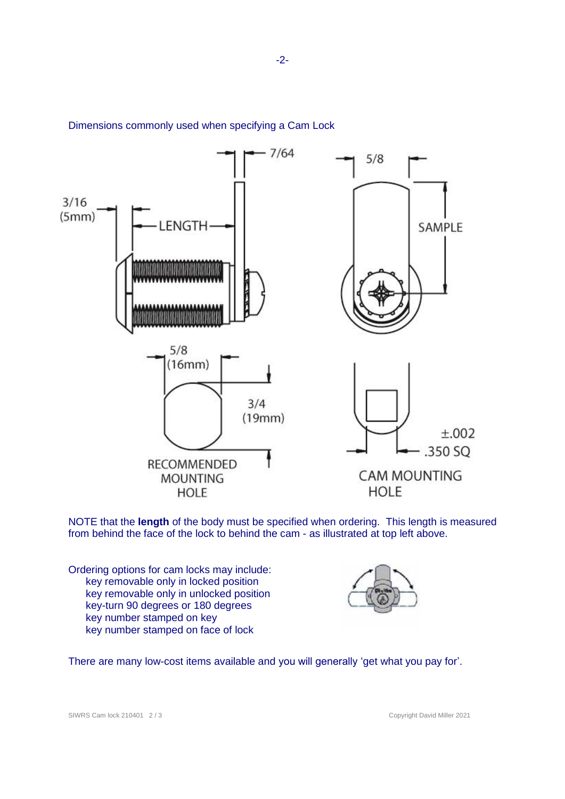

Dimensions commonly used when specifying a Cam Lock

NOTE that the **length** of the body must be specified when ordering. This length is measured from behind the face of the lock to behind the cam - as illustrated at top left above.

Ordering options for cam locks may include: key removable only in locked position key removable only in unlocked position key-turn 90 degrees or 180 degrees key number stamped on key key number stamped on face of lock



There are many low-cost items available and you will generally 'get what you pay for'.